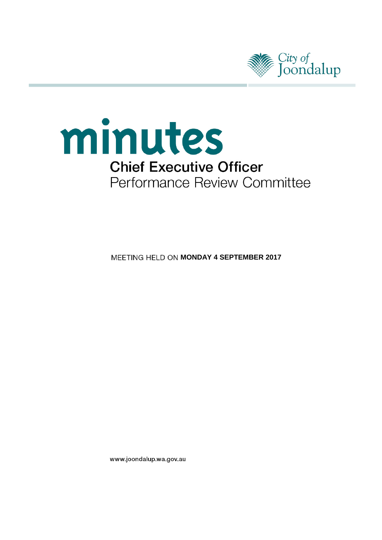



**MEETING HELD ON MONDAY 4 SEPTEMBER 2017** 

www.joondalup.wa.gov.au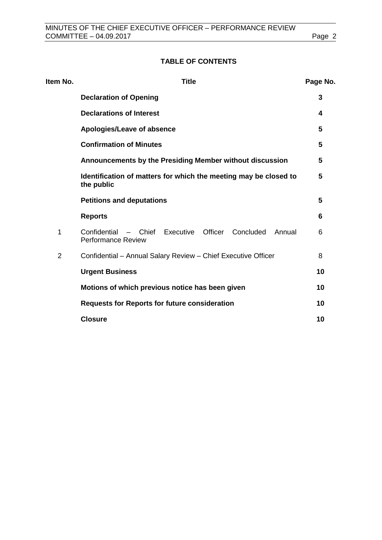# **TABLE OF CONTENTS**

| Item No.       | <b>Title</b>                                                                                  | Page No. |
|----------------|-----------------------------------------------------------------------------------------------|----------|
|                | <b>Declaration of Opening</b>                                                                 | 3        |
|                | <b>Declarations of Interest</b>                                                               | 4        |
|                | Apologies/Leave of absence                                                                    | 5        |
|                | <b>Confirmation of Minutes</b>                                                                | 5        |
|                | Announcements by the Presiding Member without discussion                                      | 5        |
|                | Identification of matters for which the meeting may be closed to<br>the public                | 5        |
|                | <b>Petitions and deputations</b>                                                              | 5        |
|                | <b>Reports</b>                                                                                | 6        |
| 1              | Officer<br>Concluded<br>Confidential - Chief Executive<br>Annual<br><b>Performance Review</b> | 6        |
| $\overline{2}$ | Confidential - Annual Salary Review - Chief Executive Officer                                 | 8        |
|                | <b>Urgent Business</b>                                                                        | 10       |
|                | Motions of which previous notice has been given                                               | 10       |
|                | <b>Requests for Reports for future consideration</b>                                          | 10       |
|                | <b>Closure</b>                                                                                | 10       |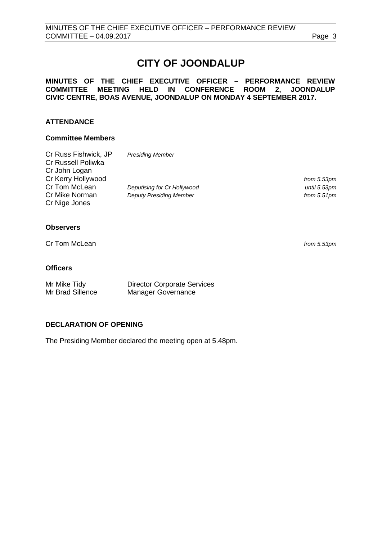# **CITY OF JOONDALUP**

# **MINUTES OF THE CHIEF EXECUTIVE OFFICER – PERFORMANCE REVIEW COMMITTEE MEETING HELD IN CONFERENCE ROOM 2, JOONDALUP CIVIC CENTRE, BOAS AVENUE, JOONDALUP ON MONDAY 4 SEPTEMBER 2017.**

# **ATTENDANCE**

#### **Committee Members**

| Cr Russ Fishwick, JP | <b>Presiding Member</b>        |                |
|----------------------|--------------------------------|----------------|
| Cr Russell Poliwka   |                                |                |
| Cr John Logan        |                                |                |
| Cr Kerry Hollywood   |                                | from 5.53pm    |
| Cr Tom McLean        | Deputising for Cr Hollywood    | until 5.53pm   |
| Cr Mike Norman       | <b>Deputy Presiding Member</b> | from $5.51$ pm |
| Cr Nige Jones        |                                |                |
|                      |                                |                |

# **Observers**

Cr Tom McLean *from 5.53pm*

## **Officers**

Mr Mike Tidy Director Corporate Services<br>
Mr Brad Sillence Manager Governance Manager Governance

# <span id="page-2-0"></span>**DECLARATION OF OPENING**

The Presiding Member declared the meeting open at 5.48pm.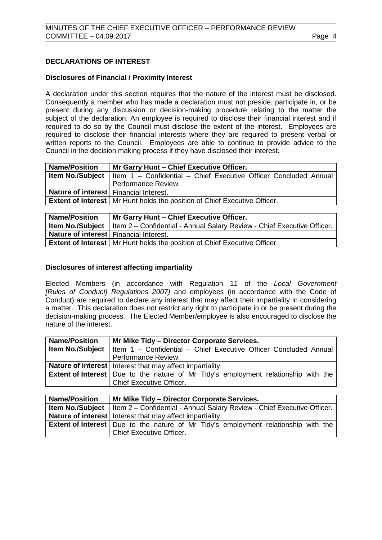# <span id="page-3-0"></span>**DECLARATIONS OF INTEREST**

#### **Disclosures of Financial / Proximity Interest**

A declaration under this section requires that the nature of the interest must be disclosed. Consequently a member who has made a declaration must not preside, participate in, or be present during any discussion or decision-making procedure relating to the matter the subject of the declaration. An employee is required to disclose their financial interest and if required to do so by the Council must disclose the extent of the interest. Employees are required to disclose their financial interests where they are required to present verbal or written reports to the Council. Employees are able to continue to provide advice to the Council in the decision making process if they have disclosed their interest.

| <b>Name/Position</b>                   | Mr Garry Hunt - Chief Executive Officer.                                                       |  |
|----------------------------------------|------------------------------------------------------------------------------------------------|--|
|                                        | <b>Item No./Subject</b>   Item $1 -$ Confidential $-$ Chief Executive Officer Concluded Annual |  |
|                                        | Performance Review.                                                                            |  |
| Nature of interest Financial Interest. |                                                                                                |  |
|                                        | <b>Extent of Interest</b>   Mr Hunt holds the position of Chief Executive Officer.             |  |
|                                        |                                                                                                |  |

| <b>Name/Position</b>                          | Mr Garry Hunt - Chief Executive Officer.                                                            |
|-----------------------------------------------|-----------------------------------------------------------------------------------------------------|
|                                               | <b>Item No./Subject</b>   Item $2 -$ Confidential - Annual Salary Review - Chief Executive Officer. |
| <b>Nature of interest</b> Financial Interest. |                                                                                                     |
|                                               | <b>Extent of Interest</b>   Mr Hunt holds the position of Chief Executive Officer.                  |

### **Disclosures of interest affecting impartiality**

Elected Members (in accordance with Regulation 11 of the *Local Government [Rules of Conduct] Regulations 2007)* and employees (in accordance with the Code of Conduct) are required to declare any interest that may affect their impartiality in considering a matter. This declaration does not restrict any right to participate in or be present during the decision-making process. The Elected Member/employee is also encouraged to disclose the nature of the interest.

| <b>Name/Position</b> | Mr Mike Tidy - Director Corporate Services.                                                    |  |
|----------------------|------------------------------------------------------------------------------------------------|--|
|                      | <b>Item No./Subject</b>   Item $1 -$ Confidential $-$ Chief Executive Officer Concluded Annual |  |
|                      | Performance Review.                                                                            |  |
|                      | <b>Nature of interest</b> Interest that may affect impartiality.                               |  |
|                      | <b>Extent of Interest</b>   Due to the nature of Mr Tidy's employment relationship with the    |  |
|                      | <b>Chief Executive Officer.</b>                                                                |  |

<span id="page-3-1"></span>

| <b>Name/Position</b> | Mr Mike Tidy – Director Corporate Services.                                                       |
|----------------------|---------------------------------------------------------------------------------------------------|
|                      | <b>Item No./Subject</b>   Item 2 – Confidential - Annual Salary Review - Chief Executive Officer. |
|                      | <b>Nature of interest</b> Interest that may affect impartiality.                                  |
|                      | <b>Extent of Interest</b>   Due to the nature of Mr Tidy's employment relationship with the       |
|                      | <b>Chief Executive Officer.</b>                                                                   |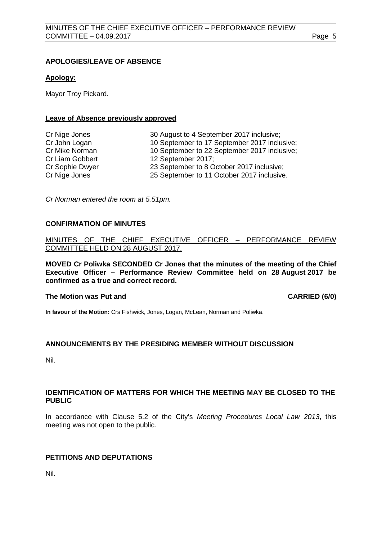# **APOLOGIES/LEAVE OF ABSENCE**

#### **Apology:**

Mayor Troy Pickard.

#### **Leave of Absence previously approved**

| Cr Nige Jones   | 30 August to 4 September 2017 inclusive;     |
|-----------------|----------------------------------------------|
| Cr John Logan   | 10 September to 17 September 2017 inclusive; |
| Cr Mike Norman  | 10 September to 22 September 2017 inclusive; |
| Cr Liam Gobbert | 12 September 2017;                           |
| Cr Sophie Dwyer | 23 September to 8 October 2017 inclusive;    |
| Cr Nige Jones   | 25 September to 11 October 2017 inclusive.   |

*Cr Norman entered the room at 5.51pm.*

#### <span id="page-4-0"></span>**CONFIRMATION OF MINUTES**

MINUTES OF THE CHIEF EXECUTIVE OFFICER – PERFORMANCE REVIEW COMMITTEE HELD ON 28 AUGUST 2017.

**MOVED Cr Poliwka SECONDED Cr Jones that the minutes of the meeting of the Chief Executive Officer – Performance Review Committee held on 28 August 2017 be confirmed as a true and correct record.**

#### **The Motion was Put and CARRIED (6/0)**

**In favour of the Motion:** Crs Fishwick, Jones, Logan, McLean, Norman and Poliwka.

# **ANNOUNCEMENTS BY THE PRESIDING MEMBER WITHOUT DISCUSSION**

Nil.

#### <span id="page-4-1"></span>**IDENTIFICATION OF MATTERS FOR WHICH THE MEETING MAY BE CLOSED TO THE PUBLIC**

In accordance with Clause 5.2 of the City's *Meeting Procedures Local Law 2013*, this meeting was not open to the public.

# <span id="page-4-2"></span>**PETITIONS AND DEPUTATIONS**

Nil.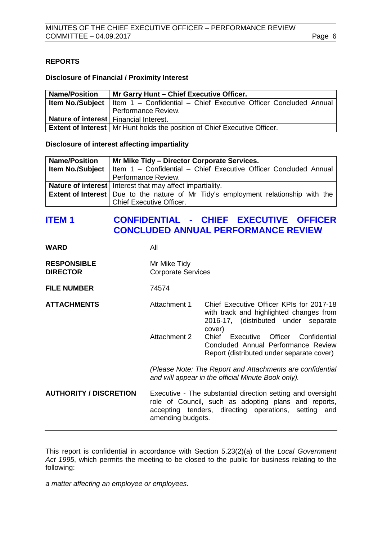# <span id="page-5-0"></span>**REPORTS**

#### **Disclosure of Financial / Proximity Interest**

| <b>Name/Position</b>                   | Mr Garry Hunt - Chief Executive Officer.                                                   |  |
|----------------------------------------|--------------------------------------------------------------------------------------------|--|
|                                        | <b>Item No./Subject</b>   Item 1 - Confidential - Chief Executive Officer Concluded Annual |  |
|                                        | Performance Review.                                                                        |  |
| Nature of interest Financial Interest. |                                                                                            |  |
|                                        | <b>Extent of Interest</b>   Mr Hunt holds the position of Chief Executive Officer.         |  |

#### **Disclosure of interest affecting impartiality**

| <b>Name/Position</b> | Mr Mike Tidy - Director Corporate Services.                                                    |  |
|----------------------|------------------------------------------------------------------------------------------------|--|
|                      | <b>Item No./Subject</b>   Item $1 -$ Confidential $-$ Chief Executive Officer Concluded Annual |  |
|                      | Performance Review.                                                                            |  |
|                      | Nature of interest   Interest that may affect impartiality.                                    |  |
|                      | <b>Extent of Interest</b>   Due to the nature of Mr Tidy's employment relationship with the    |  |
|                      | Chief Executive Officer.                                                                       |  |

# <span id="page-5-1"></span>**ITEM 1 CONFIDENTIAL - CHIEF EXECUTIVE OFFICER CONCLUDED ANNUAL PERFORMANCE REVIEW**

| WARD                                  | All                                       |                                                                                                                                                                                                                                                                      |
|---------------------------------------|-------------------------------------------|----------------------------------------------------------------------------------------------------------------------------------------------------------------------------------------------------------------------------------------------------------------------|
| <b>RESPONSIBLE</b><br><b>DIRECTOR</b> | Mr Mike Tidy<br><b>Corporate Services</b> |                                                                                                                                                                                                                                                                      |
| <b>FILE NUMBER</b>                    | 74574                                     |                                                                                                                                                                                                                                                                      |
| <b>ATTACHMENTS</b>                    | Attachment 1<br><b>Attachment 2</b>       | Chief Executive Officer KPIs for 2017-18<br>with track and highlighted changes from<br>2016-17, (distributed under separate<br>cover)<br>Chief Executive Officer<br>Confidential<br>Concluded Annual Performance Review<br>Report (distributed under separate cover) |
|                                       |                                           | (Please Note: The Report and Attachments are confidential<br>and will appear in the official Minute Book only).                                                                                                                                                      |
| <b>AUTHORITY / DISCRETION</b>         | amending budgets.                         | Executive - The substantial direction setting and oversight<br>role of Council, such as adopting plans and reports,<br>accepting tenders, directing operations, setting and                                                                                          |

This report is confidential in accordance with Section 5.23(2)(a) of the *Local Government Act 1995*, which permits the meeting to be closed to the public for business relating to the following:

*a matter affecting an employee or employees.*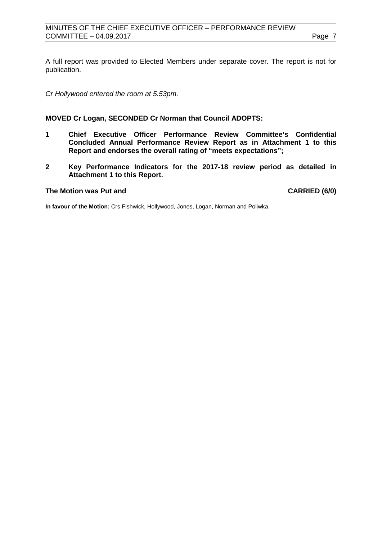A full report was provided to Elected Members under separate cover. The report is not for publication.

*Cr Hollywood entered the room at 5.53pm.* 

#### **MOVED Cr Logan, SECONDED Cr Norman that Council ADOPTS:**

- **1 Chief Executive Officer Performance Review Committee's Confidential Concluded Annual Performance Review Report as in Attachment 1 to this Report and endorses the overall rating of "meets expectations";**
- **2 Key Performance Indicators for the 2017-18 review period as detailed in Attachment 1 to this Report.**

#### **The Motion was Put and CARRIED (6/0)**

**In favour of the Motion:** Crs Fishwick, Hollywood, Jones, Logan, Norman and Poliwka.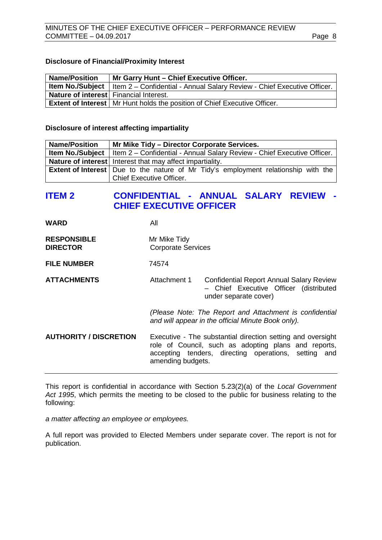#### **Disclosure of Financial/Proximity Interest**

| <b>Name/Position</b>                          | Mr Garry Hunt - Chief Executive Officer.                                                            |  |
|-----------------------------------------------|-----------------------------------------------------------------------------------------------------|--|
|                                               | <b>Item No./Subject</b>   Item $2 -$ Confidential - Annual Salary Review - Chief Executive Officer. |  |
| <b>Nature of interest</b> Financial Interest. |                                                                                                     |  |
|                                               | <b>Extent of Interest</b>   Mr Hunt holds the position of Chief Executive Officer.                  |  |

#### **Disclosure of interest affecting impartiality**

| <b>Name/Position</b> | Mr Mike Tidy - Director Corporate Services.                                                         |
|----------------------|-----------------------------------------------------------------------------------------------------|
|                      | <b>Item No./Subject</b>   Item $2 -$ Confidential - Annual Salary Review - Chief Executive Officer. |
|                      | Nature of interest   Interest that may affect impartiality.                                         |
|                      | <b>Extent of Interest</b>   Due to the nature of Mr Tidy's employment relationship with the         |
|                      | <b>Chief Executive Officer.</b>                                                                     |

# <span id="page-7-0"></span>**ITEM 2 CONFIDENTIAL - ANNUAL SALARY REVIEW - CHIEF EXECUTIVE OFFICER**

**WARD** All

- **RESPONSIBLE** Mr Mike Tidy<br> **DIRECTOR** Corporate Se **Corporate Services**
- **FILE NUMBER** 74574

**ATTACHMENTS** Attachment 1 Confidential Report Annual Salary Review – Chief Executive Officer (distributed under separate cover)

> *(Please Note: The Report and Attachment is confidential and will appear in the official Minute Book only).*

**AUTHORITY / DISCRETION** Executive - The substantial direction setting and oversight role of Council, such as adopting plans and reports, accepting tenders, directing operations, setting and amending budgets.

This report is confidential in accordance with Section 5.23(2)(a) of the *Local Government Act 1995*, which permits the meeting to be closed to the public for business relating to the following:

*a matter affecting an employee or employees.*

A full report was provided to Elected Members under separate cover. The report is not for publication.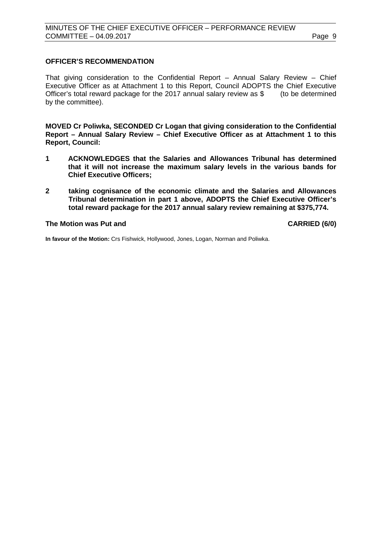# **OFFICER'S RECOMMENDATION**

That giving consideration to the Confidential Report – Annual Salary Review – Chief Executive Officer as at Attachment 1 to this Report, Council ADOPTS the Chief Executive<br>Officer's total reward package for the 2017 annual salary review as \$ (to be determined Officer's total reward package for the 2017 annual salary review as  $$$ by the committee).

**MOVED Cr Poliwka, SECONDED Cr Logan that giving consideration to the Confidential Report – Annual Salary Review – Chief Executive Officer as at Attachment 1 to this Report, Council:**

- **1 ACKNOWLEDGES that the Salaries and Allowances Tribunal has determined that it will not increase the maximum salary levels in the various bands for Chief Executive Officers;**
- **2 taking cognisance of the economic climate and the Salaries and Allowances Tribunal determination in part 1 above, ADOPTS the Chief Executive Officer's total reward package for the 2017 annual salary review remaining at \$375,774.**

**The Motion was Put and CARRIED (6/0)**

**In favour of the Motion:** Crs Fishwick, Hollywood, Jones, Logan, Norman and Poliwka.